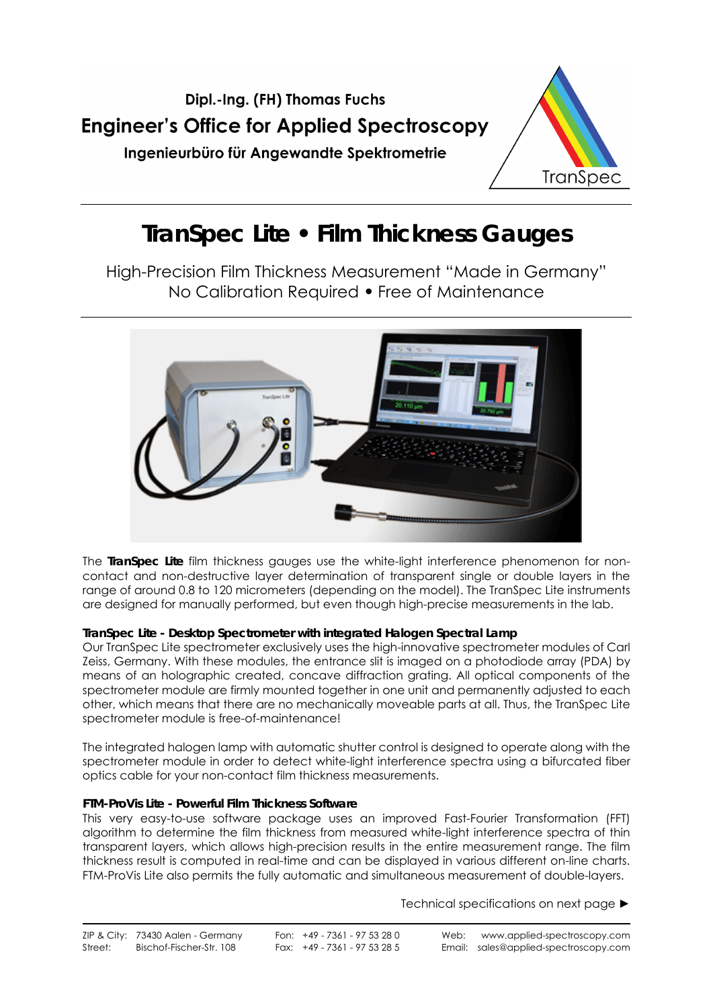

# **TranSpec Lite • Film Thickness Gauges**

High-Precision Film Thickness Measurement "Made in Germany" No Calibration Required **•** Free of Maintenance



The **TranSpec Lite** film thickness gauges use the white-light interference phenomenon for noncontact and non-destructive layer determination of transparent single or double layers in the range of around 0.8 to 120 micrometers (depending on the model). The TranSpec Lite instruments are designed for manually performed, but even though high-precise measurements in the lab.

### **TranSpec Lite - Desktop Spectrometer with integrated Halogen Spectral Lamp**

Our TranSpec Lite spectrometer exclusively uses the high-innovative spectrometer modules of Carl Zeiss, Germany. With these modules, the entrance slit is imaged on a photodiode array (PDA) by means of an holographic created, concave diffraction grating. All optical components of the spectrometer module are firmly mounted together in one unit and permanently adjusted to each other, which means that there are no mechanically moveable parts at all. Thus, the TranSpec Lite spectrometer module is free-of-maintenance!

The integrated halogen lamp with automatic shutter control is designed to operate along with the spectrometer module in order to detect white-light interference spectra using a bifurcated fiber optics cable for your non-contact film thickness measurements.

### **FTM-ProVis Lite - Powerful Film Thickness Software**

This very easy-to-use software package uses an improved Fast-Fourier Transformation (FFT) algorithm to determine the film thickness from measured white-light interference spectra of thin transparent layers, which allows high-precision results in the entire measurement range. The film thickness result is computed in real-time and can be displayed in various different on-line charts. FTM-ProVis Lite also permits the fully automatic and simultaneous measurement of double-layers.

Technical specifications on next page ►